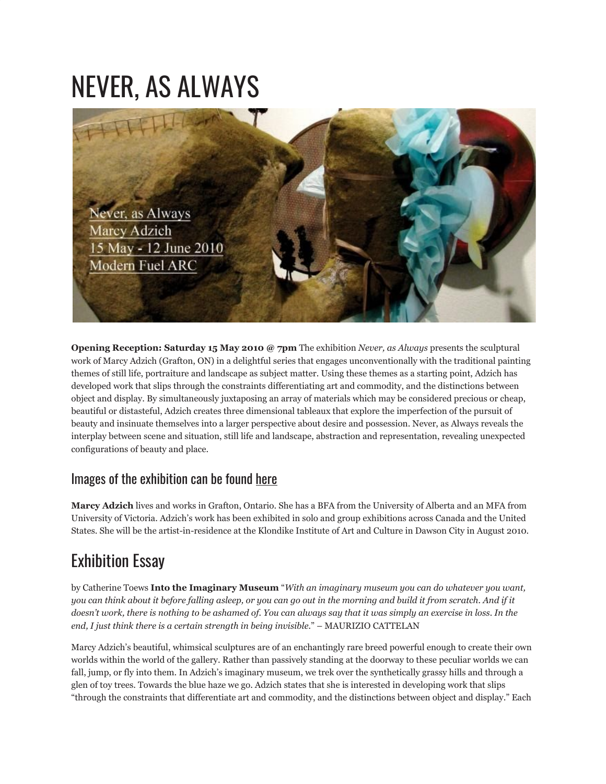## NEVER, AS ALWAYS



**Opening Reception: Saturday 15 May 2010 @ 7pm** The exhibition *Never, as Always* presents the sculptural work of Marcy Adzich (Grafton, ON) in a delightful series that engages unconventionally with the traditional painting themes of still life, portraiture and landscape as subject matter. Using these themes as a starting point, Adzich has developed work that slips through the constraints differentiating art and commodity, and the distinctions between object and display. By simultaneously juxtaposing an array of materials which may be considered precious or cheap, beautiful or distasteful, Adzich creates three dimensional tableaux that explore the imperfection of the pursuit of beauty and insinuate themselves into a larger perspective about desire and possession. Never, as Always reveals the interplay between scene and situation, still life and landscape, abstraction and representation, revealing unexpected configurations of beauty and place.

## Images of the exhibition can be found [here](http://www.flickr.com/photos/modernfuel/sets/72157624078764103/)

**Marcy Adzich** lives and works in Grafton, Ontario. She has a BFA from the University of Alberta and an MFA from University of Victoria. Adzich's work has been exhibited in solo and group exhibitions across Canada and the United States. She will be the artist-in-residence at the Klondike Institute of Art and Culture in Dawson City in August 2010.

## Exhibition Essay

by Catherine Toews **Into the Imaginary Museum** "*With an imaginary museum you can do whatever you want, you can think about it before falling asleep, or you can go out in the morning and build it from scratch. And if it doesn't work, there is nothing to be ashamed of. You can always say that it was simply an exercise in loss. In the end, I just think there is a certain strength in being invisible.*" – MAURIZIO CATTELAN

Marcy Adzich's beautiful, whimsical sculptures are of an enchantingly rare breed powerful enough to create their own worlds within the world of the gallery. Rather than passively standing at the doorway to these peculiar worlds we can fall, jump, or fly into them. In Adzich's imaginary museum, we trek over the synthetically grassy hills and through a glen of toy trees. Towards the blue haze we go. Adzich states that she is interested in developing work that slips "through the constraints that differentiate art and commodity, and the distinctions between object and display." Each